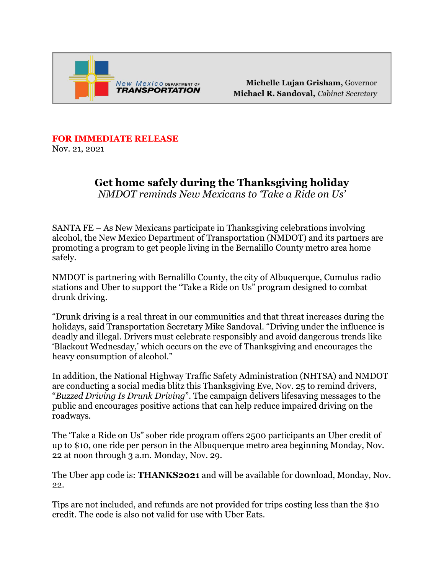

Michelle Lujan Grisham, Governor Michael R. Sandoval, Cabinet Secretary

**FOR IMMEDIATE RELEASE** 

Nov. 21, 2021

## **Get home safely during the Thanksgiving holiday** *NMDOT reminds New Mexicans to 'Take a Ride on Us'*

SANTA FE – As New Mexicans participate in Thanksgiving celebrations involving alcohol, the New Mexico Department of Transportation (NMDOT) and its partners are promoting a program to get people living in the Bernalillo County metro area home safely.

NMDOT is partnering with Bernalillo County, the city of Albuquerque, Cumulus radio stations and Uber to support the "Take a Ride on Us" program designed to combat drunk driving.

"Drunk driving is a real threat in our communities and that threat increases during the holidays, said Transportation Secretary Mike Sandoval. "Driving under the influence is deadly and illegal. Drivers must celebrate responsibly and avoid dangerous trends like 'Blackout Wednesday,' which occurs on the eve of Thanksgiving and encourages the heavy consumption of alcohol."

In addition, the National Highway Traffic Safety Administration (NHTSA) and NMDOT are conducting a social media blitz this Thanksgiving Eve, Nov. 25 to remind drivers, "*Buzzed Driving Is Drunk Driving*". The campaign delivers lifesaving messages to the public and encourages positive actions that can help reduce impaired driving on the roadways.

The 'Take a Ride on Us" sober ride program offers 2500 participants an Uber credit of up to \$10, one ride per person in the Albuquerque metro area beginning Monday, Nov. 22 at noon through 3 a.m. Monday, Nov. 29.

The Uber app code is: **THANKS2021** and will be available for download, Monday, Nov. 22.

Tips are not included, and refunds are not provided for trips costing less than the \$10 credit. The code is also not valid for use with Uber Eats.